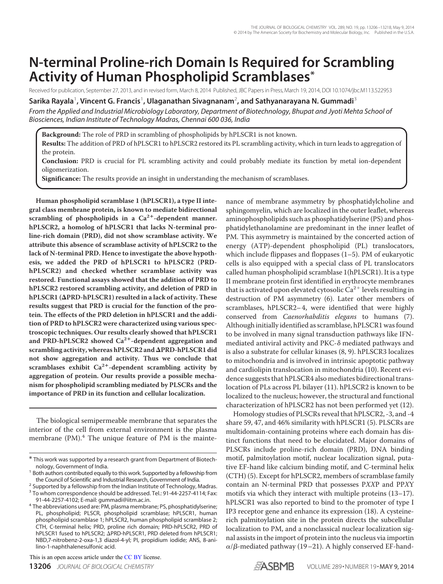# **N-terminal Proline-rich Domain Is Required for Scrambling Activity of Human Phospholipid Scramblases\***

Received for publication, September 27, 2013, and in revised form, March 8, 2014 Published, JBC Papers in Press, March 19, 2014, DOI 10.1074/jbc.M113.522953

**Sarika Rayala**<sup>1</sup> **, Vincent G. Francis**<sup>1</sup> **, Ulaganathan Sivagnanam**<sup>2</sup> **, and Sathyanarayana N. Gummadi**<sup>3</sup>

*From the Applied and Industrial Microbiology Laboratory, Department of Biotechnology, Bhupat and Jyoti Mehta School of Biosciences, Indian Institute of Technology Madras, Chennai 600 036, India*

**Background:** The role of PRD in scrambling of phospholipids by hPLSCR1 is not known. **Results:** The addition of PRD of hPLSCR1 to hPLSCR2 restored its PL scrambling activity, which in turn leads to aggregation of the protein.

**Conclusion:** PRD is crucial for PL scrambling activity and could probably mediate its function by metal ion-dependent oligomerization.

**Significance:** The results provide an insight in understanding the mechanism of scramblases.

**Human phospholipid scramblase 1 (hPLSCR1), a type II integral class membrane protein, is known to mediate bidirectional** scrambling of phospholipids in a Ca<sup>2+</sup>-dependent manner. **hPLSCR2, a homolog of hPLSCR1 that lacks N-terminal proline-rich domain (PRD), did not show scramblase activity. We attribute this absence of scramblase activity of hPLSCR2 to the lack of N-terminal PRD. Hence to investigate the above hypothesis, we added the PRD of hPLSCR1 to hPLSCR2 (PRDhPLSCR2) and checked whether scramblase activity was restored. Functional assays showed that the addition of PRD to hPLSCR2 restored scrambling activity, and deletion of PRD in hPLSCR1 (PRD-hPLSCR1) resulted in a lack of activity. These results suggest that PRD is crucial for the function of the protein. The effects of the PRD deletion in hPLSCR1 and the addition of PRD to hPLSCR2 were characterized using various spectroscopic techniques. Our results clearly showed that hPLSCR1** and PRD-hPLSCR2 showed Ca<sup>2+</sup>-dependent aggregation and **scrambling activity, whereas hPLSCR2 and PRD-hPLSCR1 did not show aggregation and activity. Thus we conclude that** scramblases exhibit Ca<sup>2+</sup>-dependent scrambling activity by **aggregation of protein. Our results provide a possible mechanism for phospholipid scrambling mediated by PLSCRs and the importance of PRD in its function and cellular localization.**

The biological semipermeable membrane that separates the interior of the cell from external environment is the plasma membrane  $(PM)^4$ . The unique feature of PM is the mainte-

<sup>2</sup> Supported by a fellowship from the Indian Institute of Technology, Madras.

nance of membrane asymmetry by phosphatidylcholine and sphingomyelin, which are localized in the outer leaflet, whereas aminophospholipids such as phosphatidylserine (PS) and phosphatidylethanolamine are predominant in the inner leaflet of PM. This asymmetry is maintained by the concerted action of energy (ATP)-dependent phospholipid (PL) translocators, which include flippases and floppases (1–5). PM of eukaryotic cells is also equipped with a special class of PL translocators called human phospholipid scramblase 1(hPLSCR1). It is a type II membrane protein first identified in erythrocyte membranes that is activated upon elevated cytosolic  $\text{Ca}^{2+}$  levels resulting in destruction of PM asymmetry (6). Later other members of scramblases, hPLSCR2– 4, were identified that were highly conserved from Caenorhabditis elegans to humans (7). Although initially identified as scramblase, hPLSCR1 was found to be involved in many signal transduction pathways like IFNmediated antiviral activity and PKC- $\delta$  mediated pathways and is also a substrate for cellular kinases (8, 9). hPLSCR3 localizes to mitochondria and is involved in intrinsic apoptotic pathway and cardiolipin translocation in mitochondria (10). Recent evidence suggests that hPLSCR4 also mediates bidirectional translocation of PLs across PL bilayer (11). hPLSCR2 is known to be localized to the nucleus; however, the structural and functional characterization of hPLSCR2 has not been performed yet (12).

Homology studies of PLSCRs reveal that hPLSCR2, -3, and -4 share 59, 47, and 46% similarity with hPLSCR1 (5). PLSCRs are multidomain-containing proteins where each domain has distinct functions that need to be elucidated. Major domains of PLSCRs include proline-rich domain (PRD), DNA binding motif, palmitoylation motif, nuclear localization signal, putative EF-hand like calcium binding motif, and C-terminal helix (CTH) (5). Except for hPLSCR2, members of scramblase family contain an N-terminal PRD that possesses PXXP and PPXY motifs via which they interact with multiple proteins (13–17). hPLSCR1 was also reported to bind to the promoter of type I IP3 receptor gene and enhance its expression (18). A cysteinerich palmitoylation site in the protein directs the subcellular localization to PM, and a nonclassical nuclear localization signal assists in the import of protein into the nucleus via importin  $\alpha/\beta$ -mediated pathway (19–21). A highly conserved EF-hand-



<sup>\*</sup> This work was supported by a research grant from Department of Biotechnology, Government of India.

<sup>&</sup>lt;sup>1</sup> Both authors contributed equally to this work. Supported by a fellowship from the Council of Scientific and Industrial Research, Government of India.

<sup>&</sup>lt;sup>3</sup> To whom correspondence should be addressed. Tel.: 91-44-2257-4114; Fax: 91-44-2257-4102; E-mail: gummadi@iitm.ac.in.

<sup>4</sup> The abbreviations used are: PM, plasma membrane; PS, phosphatidylserine; PL, phospholipid; PLSCR, phospholipid scramblase; hPLSCR1, human phospholipid scramblase 1; hPLSCR2, human phospholipid scramblase 2; CTH, C-terminal helix; PRD, proline rich domain; PRD-hPLSCR2, PRD of hPLSCR1 fused to hPLSCR2; APRD-hPLSCR1, PRD deleted from hPLSCR1; NBD,7-nitrobenz-2-oxa-1,3 diazol-4-yl; PI, propidium iodide; ANS, 8-anilino-1-naphthalenesulfonic acid.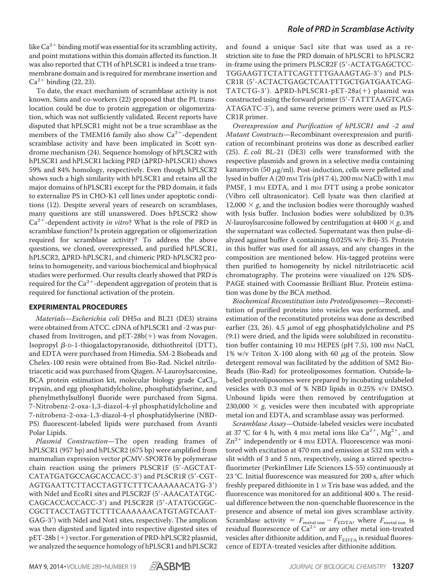like Ca $^{2+}$  binding motif was essential for its scrambling activity, and point mutations within this domain affected its function. It was also reported that CTH of hPLSCR1 is indeed a true transmembrane domain and is required for membrane insertion and  $Ca^{2+}$  binding (22, 23).

To date, the exact mechanism of scramblase activity is not known. Sims and co-workers (22) proposed that the PL translocation could be due to protein aggregation or oligomerization, which was not sufficiently validated. Recent reports have disputed that hPLSCR1 might not be a true scramblase as the members of the TMEM16 family also show  $Ca<sup>2+</sup>$ -dependent scramblase activity and have been implicated in Scott syndrome mechanism (24). Sequence homology of hPLSCR2 with hPLSCR1 and hPLSCR1 lacking PRD ( $\Delta$ PRD-hPLSCR1) shows 59% and 84% homology, respectively. Even though hPLSCR2 shows such a high similarity with hPLSCR1 and retains all the major domains of hPLSCR1 except for the PRD domain, it fails to externalize PS in CHO-K1 cell lines under apoptotic conditions (12). Despite several years of research on scramblases, many questions are still unanswered. Does hPLSCR2 show  $Ca^{2+}$ -dependent activity in vitro? What is the role of PRD in scramblase function? Is protein aggregation or oligomerization required for scramblase activity? To address the above questions, we cloned, overexpressed, and purified hPLSCR1, hPLSCR2, APRD-hPLSCR1, and chimeric PRD-hPLSCR2 proteins to homogeneity, and various biochemical and biophysical studies were performed. Our results clearly showed that PRD is required for the  $\text{Ca}^{2+}$ -dependent aggregation of protein that is required for functional activation of the protein.

## **EXPERIMENTAL PROCEDURES**

Materials–Escherichia coli DH5 $\alpha$  and BL21 (DE3) strains were obtained from ATCC. cDNA of hPLSCR1 and -2 was purchased from Invitrogen, and  $pET-28b(+)$  was from Novagen. Isopropyl  $\beta$ -D-1-thiogalactopyranoside, dithiothreitol (DTT), and EDTA were purchased from Himedia. SM-2 Biobeads and Chelex-100 resin were obtained from Bio-Rad. Nickel nitrilotriacetic acid was purchased from Qiagen. N-Lauroylsarcosine, BCA protein estimation kit, molecular biology grade CaCl<sub>2</sub>, trypsin, and egg phosphatidylcholine, phosphatidylserine, and phenylmethylsulfonyl fluoride were purchased from Sigma. 7-Nitrobenz-2-oxa-1,3-diazol-4-yl phosphatidylcholine and 7-nitrobenz-2-oxa-1,3-diazol-4-yl phosphatidylserine (NBD-PS) fluorescent-labeled lipids were purchased from Avanti Polar Lipids.

Plasmid Construction—The open reading frames of hPLSCR1 (957 bp) and hPLSCR2 (675 bp) were amplified from mammalian expression vector pCMV-SPORT6 by polymerase chain reaction using the primers PLSCR1F (5-AGCTAT-CATATGATGCCAGCACCACC-3) and PLSCR1R (5-CGT-AGTGAATTCTTACCTAGTTCTTTCAAAAAACATG-3) with NdeI and EcoR1 sites and PLSCR2F (5'-AAACATATGC-CAGCACCACCACC-3) and PLSCR2R (5-ATATGCGGC-CGCTTACCTAGTTCTTTCAAAAAACATGTAGTCAAT-GAG-3) with NdeI and Not1 sites, respectively. The amplicon was then digested and ligated into respective digested sites of pET-28b (+) vector. For generation of PRD-hPLSCR2 plasmid, we analyzed the sequence homology of hPLSCR1 and hPLSCR2

and found a unique SacI site that was used as a restriction site to fuse the PRD domain of hPLSCR1 to hPLSCR2 in-frame using the primers PLSCR2F (5-ACTATGAGCTCC-TGGAAGTTCTATTCAGTTTTGAAAGTAG-3) and PLS-CR1R (5-ACTACTGAGCTCAATTTGCTGATGAATCAG-TATCTG-3').  $\Delta$ PRD-hPLSCR1-pET-28a(+) plasmid was constructed using the forward primer (5'-TATTTAAGTCAG-ATAGATC-3), and same reverse primers were used as PLS-CR1R primer.

Overexpression and Purification of hPLSCR1 and -2 and Mutant Constructs—Recombinant overexpression and purification of recombinant proteins was done as described earlier (25). E. coli BL-21 (DE3) cells were transformed with the respective plasmids and grown in a selective media containing kanamycin (50  $\mu$ g/ml). Post-induction, cells were pelleted and lysed in buffer A (20 mm Tris (pH 7.4), 200 mm NaCl) with 1 mm PMSF, 1 mm EDTA, and 1 mm DTT using a probe sonicator (Vibro cell ultrasonicator). Cell lysate was then clarified at 12,000  $\times$  g, and the inclusion bodies were thoroughly washed with lysis buffer. Inclusion bodies were solubilized by 0.3% *N*-lauroylsarcosine followed by centrifugation at  $4400 \times g$ , and the supernatant was collected. Supernatant was then pulse-dialyzed against buffer A containing 0.025% w/v Brij-35. Protein in this buffer was used for all assays, and any changes in the composition are mentioned below. His-tagged proteins were then purified to homogeneity by nickel nitrilotriacetic acid chromatography. The proteins were visualized on 12% SDS-PAGE stained with Coomassie Brilliant Blue. Protein estimation was done by the BCA method.

Biochemical Reconstitution into Proteoliposomes—Reconstitution of purified proteins into vesicles was performed, and estimation of the reconstituted proteins was done as described earlier (23, 26). 4.5  $\mu$ mol of egg phosphatidylcholine and PS (9:1) were dried, and the lipids were solubilized in reconstitution buffer containing 10 mm HEPES (pH 7.5), 100 mm NaCl, 1% w/v Triton X-100 along with 60  $\mu$ g of the protein. Slow detergent removal was facilitated by the addition of SM2 Bio-Beads (Bio-Rad) for proteoliposomes formation. Outside-labeled proteoliposomes were prepared by incubating unlabeled vesicles with 0.3 mol of % NBD lipids in 0.25% v/v DMSO. Unbound lipids were then removed by centrifugation at 230,000  $\times$  g, vesicles were then incubated with appropriate metal ion and EDTA, and scramblase assay was performed.

Scramblase Assay—Outside-labeled vesicles were incubated at 37 °C for 4 h, with 4 mm metal ions like  $Ca^{2+}$ ,  $Mg^{2+}$ , and Zn<sup>2+</sup> independently or 4 mm EDTA. Fluorescence was monitored with excitation at 470 nm and emission at 532 nm with a slit width of 3 and 5 nm, respectively, using a stirred spectrofluorimeter (PerkinElmer Life Sciences LS-55) continuously at 23 °C. Initial fluorescence was measured for 200 s, after which freshly prepared dithionite in 1 M Tris base was added, and the fluorescence was monitored for an additional 400 s. The residual difference between the non-quenchable fluorescence in the presence and absence of metal ion gives scramblase activity. Scramblase activity =  $F_{\text{metal ion}} - F_{\text{EDTA}}$ , where  $F_{\text{metal ion}}$  is residual fluorescence of  $Ca^{2+}$  or any other metal ion-treated vesicles after dithionite addition, and  $F_{\rm{EDTA}}$  is residual fluorescence of EDTA-treated vesicles after dithionite addition.

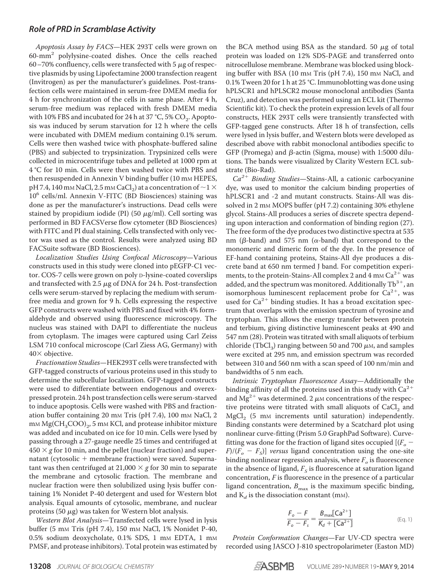Apoptosis Assay by FACS—HEK 293T cells were grown on 60-mm<sup>2</sup> polylysine-coated dishes. Once the cells reached 60–70% confluency, cells were transfected with 5  $\mu$ g of respective plasmids by using Lipofectamine 2000 transfection reagent (Invitrogen) as per the manufacturer's guidelines. Post-transfection cells were maintained in serum-free DMEM media for 4 h for synchronization of the cells in same phase. After 4 h, serum-free medium was replaced with fresh DMEM media with 10% FBS and incubated for 24 h at 37 °C, 5% CO<sub>2</sub>. Apoptosis was induced by serum starvation for 12 h where the cells were incubated with DMEM medium containing 0.1% serum. Cells were then washed twice with phosphate-buffered saline (PBS) and subjected to trypsinization. Trypsinized cells were collected in microcentrifuge tubes and pelleted at 1000 rpm at 4 °C for 10 min. Cells were then washed twice with PBS and then resuspended in Annexin V binding buffer (10 mm HEPES, pH 7.4, 140 mm NaCl, 2.5 mm CaCl<sub>2</sub>) at a concentration of  ${\sim}1$   ${\times}$ 10<sup>6</sup> cells/ml. Annexin V-FITC (BD Biosciences) staining was done as per the manufacturer's instructions. Dead cells were stained by propidium iodide (PI) (50  $\mu$ g/ml). Cell sorting was performed in BD FACSVerse flow cytometer (BD Biosciences) with FITC and PI dual staining. Cells transfected with only vector was used as the control. Results were analyzed using BD FACSuite software (BD Biosciences).

Localization Studies Using Confocal Microscopy—Various constructs used in this study were cloned into pEGFP-C1 vector. COS-7 cells were grown on poly D-lysine-coated coverslips and transfected with 2.5  $\mu$ g of DNA for 24 h. Post-transfection cells were serum-starved by replacing the medium with serumfree media and grown for 9 h. Cells expressing the respective GFP constructs were washed with PBS and fixed with 4% formaldehyde and observed using fluorescence microscopy. The nucleus was stained with DAPI to differentiate the nucleus from cytoplasm. The images were captured using Carl Zeiss LSM 710 confocal microscope (Carl Ziess AG, Germany) with  $40\times$  objective.

Fractionation Studies—HEK293T cells were transfected with GFP-tagged constructs of various proteins used in this study to determine the subcellular localization. GFP-tagged constructs were used to differentiate between endogenous and overexpressed protein. 24 h post transfection cells were serum-starved to induce apoptosis. Cells were washed with PBS and fractionation buffer containing 20 mm Tris (pH 7.4), 100 mm NaCl, 2 mм  $\mathrm{Mg}(CH_3COO)_2$ , 5 mм KCl, and protease inhibitor mixture was added and incubated on ice for 10 min. Cells were lysed by passing through a 27-gauge needle 25 times and centrifuged at  $450 \times g$  for 10 min, and the pellet (nuclear fraction) and supernatant (cytosolic + membrane fraction) were saved. Supernatant was then centrifuged at 21,000  $\times$  g for 30 min to separate the membrane and cytosolic fraction. The membrane and nuclear fraction were then solubilized using lysis buffer containing 1% Nonidet P-40 detergent and used for Western blot analysis. Equal amounts of cytosolic, membrane, and nuclear proteins (50  $\mu$ g) was taken for Western blot analysis.

Western Blot Analysis—Transfected cells were lysed in lysis buffer (5 mM Tris (pH 7.4), 150 mM NaCl, 1% Nonidet P-40, 0.5% sodium deoxycholate, 0.1% SDS, 1 mm EDTA, 1 mm PMSF, and protease inhibitors). Total protein was estimated by the BCA method using BSA as the standard. 50  $\mu$ g of total protein was loaded on 12% SDS-PAGE and transferred onto nitrocellulose membrane. Membrane was blocked using blocking buffer with BSA (10 mm Tris (pH 7.4), 150 mm NaCl, and 0.1% Tween 20 for 1 h at 25 °C.Immunoblotting was done using hPLSCR1 and hPLSCR2 mouse monoclonal antibodies (Santa Cruz), and detection was performed using an ECL kit (Thermo Scientific kit). To check the protein expression levels of all four constructs, HEK 293T cells were transiently transfected with GFP-tagged gene constructs. After 18 h of transfection, cells were lysed in lysis buffer, and Western blots were developed as described above with rabbit monoclonal antibodies specific to GFP (Promega) and  $\beta$ -actin (Sigma, mouse) with 1:5000 dilutions. The bands were visualized by Clarity Western ECL substrate (Bio-Rad).

 $Ca^{2+}$  Binding Studies-Stains-All, a cationic carbocyanine dye, was used to monitor the calcium binding properties of hPLSCR1 and -2 and mutant constructs. Stains-All was dissolved in 2 mm MOPS buffer (pH 7.2) containing 30% ethylene glycol. Stains-All produces a series of discrete spectra depending upon interaction and conformation of binding region (27). The free form of the dye produces two distinctive spectra at 535 nm ( $\beta$ -band) and 575 nm ( $\alpha$ -band) that correspond to the monomeric and dimeric form of the dye. In the presence of EF-hand containing proteins, Stains-All dye produces a discrete band at 650 nm termed J band. For competition experiments, to the protein-Stains-All complex 2 and 4 mm Ca<sup>2+</sup> was added, and the spectrum was monitored. Additionally  $\text{Tb}^{3+}$ , an isomorphous luminescent replacement probe for  $Ca^{2+}$ , was used for Ca<sup>2+</sup> binding studies. It has a broad excitation spectrum that overlaps with the emission spectrum of tyrosine and tryptophan. This allows the energy transfer between protein and terbium, giving distinctive luminescent peaks at 490 and 547 nm (28). Protein was titrated with small aliquots of terbium chloride (TbCl<sub>3</sub>) ranging between 50 and 700  $\mu$ m, and samples were excited at 295 nm, and emission spectrum was recorded between 310 and 560 nm with a scan speed of 100 nm/min and bandwidths of 5 nm each.

Intrinsic Tryptophan Fluorescence Assay—Additionally the binding affinity of all the proteins used in this study with  $\text{Ca}^{2+}$ and Mg $^{2+}$  was determined. 2  $\mu$ м concentrations of the respective proteins were titrated with small aliquots of  $\mathrm{CaCl}_{2}$  and  $MgCl<sub>2</sub>$  (5 mm increments until saturation) independently. Binding constants were determined by a Scatchard plot using nonlinear curve-fitting (Prism 5.0 GraphPad Software). Curvefitting was done for the fraction of ligand sites occupied  $[(F_{o} F/(F_o - F_s)$ ] versus ligand concentration using the one-site binding nonlinear regression analysis, where  $F_o$  is fluorescence in the absence of ligand,  $F_{\mathcal{S}}$  is fluorescence at saturation ligand concentration,  $F$  is fluorescence in the presence of a particular ligand concentration,  $B_{\text{max}}$  is the maximum specific binding, and  $K_d$  is the dissociation constant (m<sub>M</sub>).

$$
\frac{F_o - F}{F_o - F_s} = \frac{B_{\text{max}}[Ca^{2+}]}{K_d + [Ca^{2+}]} \tag{Eq. 1}
$$

Protein Conformation Changes—Far UV-CD spectra were recorded using JASCO J-810 spectropolarimeter (Easton MD)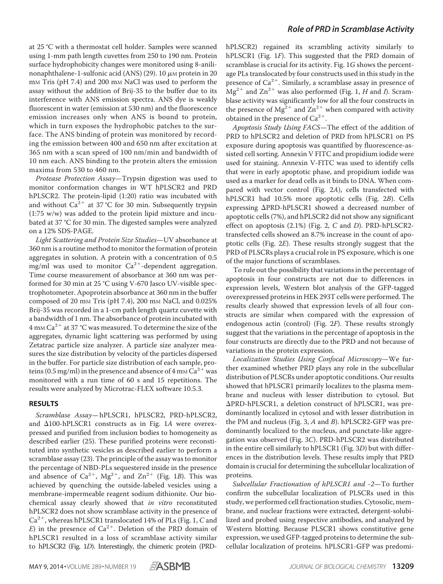at 25 °C with a thermostat cell holder. Samples were scanned using 1-mm path length cuvettes from 250 to 190 nm. Protein surface hydrophobicity changes were monitored using 8-anilinonaphthalene-1-sulfonic acid (ANS) (29). 10  $\mu$ M protein in 20 mM Tris (pH 7.4) and 200 mM NaCl was used to perform the assay without the addition of Brij-35 to the buffer due to its interference with ANS emission spectra. ANS dye is weakly fluorescent in water (emission at 530 nm) and the fluorescence emission increases only when ANS is bound to protein, which in turn exposes the hydrophobic patches to the surface. The ANS binding of protein was monitored by recording the emission between 400 and 650 nm after excitation at 365 nm with a scan speed of 100 nm/min and bandwidth of 10 nm each. ANS binding to the protein alters the emission maxima from 530 to 460 nm.

Protease Protection Assay—Trypsin digestion was used to monitor conformation changes in WT hPLSCR2 and PRD hPLSCR2. The protein-lipid (1:20) ratio was incubated with and without Ca<sup>2+</sup> at 37 °C for 30 min. Subsequently trypsin (1:75 w/w) was added to the protein lipid mixture and incubated at 37 °C for 30 min. The digested samples were analyzed on a 12% SDS-PAGE.

Light Scattering and Protein Size Studies—UV absorbance at 360 nm is a routine method to monitor the formation of protein aggregates in solution. A protein with a concentration of 0.5  $mg/ml$  was used to monitor  $Ca^{2+}$ -dependent aggregation. Time course measurement of absorbance at 360 nm was performed for 30 min at 25 °C using V-670 Jasco UV-visible spectrophotometer. Apoprotein absorbance at 360 nm in the buffer composed of 20 mm Tris ( $pH$  7.4), 200 mm NaCl, and 0.025% Brij-35 was recorded in a 1-cm path length quartz cuvette with a bandwidth of 1 nm. The absorbance of protein incubated with  $4$  mm Ca<sup>2+</sup> at 37 °C was measured. To determine the size of the aggregates, dynamic light scattering was performed by using Zetatrac particle size analyzer. A particle size analyzer measures the size distribution by velocity of the particles dispersed in the buffer. For particle size distribution of each sample, proteins (0.5 mg/ml) in the presence and absence of 4 mm  $\mathring{\text{Ca}}^{2+}$  was monitored with a run time of 60 s and 15 repetitions. The results were analyzed by Microtrac-FLEX software 10.5.3.

## **RESULTS**

Scramblase Assay— hPLSCR1, hPLSCR2, PRD-hPLSCR2, and  $\Delta$ 100-hPLSCR1 constructs as in Fig. 1A were overexpressed and purified from inclusion bodies to homogeneity as described earlier (25). These purified proteins were reconstituted into synthetic vesicles as described earlier to perform a scramblase assay (23). The principle of the assay was to monitor the percentage of NBD-PLs sequestered inside in the presence and absence of  $Ca^{2+}$ ,  $Mg^{2+}$ , and  $Zn^{2+}$  (Fig. 1B). This was achieved by quenching the outside-labeled vesicles using a membrane-impermeable reagent sodium dithionite. Our biochemical assay clearly showed that in vitro reconstituted hPLSCR2 does not show scramblase activity in the presence of Ca<sup>2+</sup>, whereas hPLSCR1 translocated 14% of PLs (Fig. 1, C and E) in the presence of  $Ca^{2+}$ . Deletion of the PRD domain of hPLSCR1 resulted in a loss of scramblase activity similar to hPLSCR2 (Fig. 1D). Interestingly, the chimeric protein (PRD-

hPLSCR2) regained its scrambling activity similarly to hPLSCR1 (Fig. 1F). This suggested that the PRD domain of scramblase is crucial for its activity. Fig. 1G shows the percentage PLs translocated by four constructs used in this study in the presence of Ca<sup>2+</sup>. Similarly, a scramblase assay in presence of  $\text{Mg}^{2+}$  and  $\text{Zn}^{2+}$  was also performed (Fig. 1, H and I). Scramblase activity was significantly low for all the four constructs in the presence of  $Mg^{2+}$  and  $Zn^{2+}$  when compared with activity obtained in the presence of  $Ca^{2+}$ .

Apoptosis Study Using FACS—The effect of the addition of PRD to hPLSCR2 and deletion of PRD from hPLSCR1 on PS exposure during apoptosis was quantified by fluorescence-assisted cell sorting. Annexin V FITC and propidium iodide were used for staining. Annexin V-FITC was used to identify cells that were in early apoptotic phase, and propidium iodide was used as a marker for dead cells as it binds to DNA. When compared with vector control (Fig. 2A), cells transfected with hPLSCR1 had 10.5% more apoptotic cells (Fig. 2B). Cells expressing  $\Delta$ PRD-hPLSCR1 showed a decreased number of apoptotic cells (7%), and hPLSCR2 did not show any significant effect on apoptosis  $(2.1\%)$  (Fig. 2, C and D). PRD-hPLSCR2transfected cells showed an 8.7% increase in the count of apoptotic cells (Fig. 2E). These results strongly suggest that the PRD of PLSCRs plays a crucial role in PS exposure, which is one of the major functions of scramblases.

To rule out the possibility that variations in the percentage of apoptosis in four constructs are not due to differences in expression levels, Western blot analysis of the GFP-tagged overexpressed proteins in HEK 293T cells were performed. The results clearly showed that expression levels of all four constructs are similar when compared with the expression of endogenous actin (control) (Fig. 2F). These results strongly suggest that the variations in the percentage of apoptosis in the four constructs are directly due to the PRD and not because of variations in the protein expression.

Localization Studies Using Confocal Microscopy—We further examined whether PRD plays any role in the subcellular distribution of PLSCRs under apoptotic conditions. Our results showed that hPLSCR1 primarily localizes to the plasma membrane and nucleus with lesser distribution to cytosol. But PRD-hPLSCR1, a deletion construct of hPLSCR1, was predominantly localized in cytosol and with lesser distribution in the PM and nucleus (Fig. 3, A and B). hPLSCR2-GFP was predominantly localized to the nucleus, and punctate-like aggregation was observed (Fig. 3C). PRD-hPLSCR2 was distributed in the entire cell similarly to hPLSCR1 (Fig. 3D) but with differences in the distribution levels. These results imply that PRD domain is crucial for determining the subcellular localization of proteins.

Subcellular Fractionation of hPLSCR1 and -2—To further confirm the subcellular localization of PLSCRs used in this study, we performed cell fractionation studies. Cytosolic, membrane, and nuclear fractions were extracted, detergent-solubilized and probed using respective antibodies, and analyzed by Western blotting. Because PLSCR1 shows constitutive gene expression, we used GFP-tagged proteins to determine the subcellular localization of proteins. hPLSCR1-GFP was predomi-

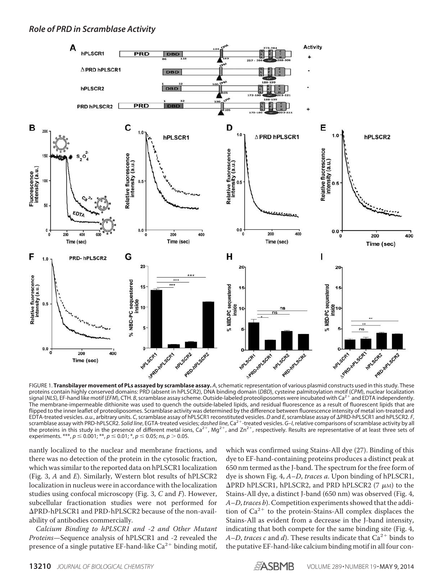

proteins contain highly conserved domains: PRD (absent in hPLSCR2), DNA binding domain (*DBD*), cysteine palmitoylation motif (CPM), nuclear localization<br>signal (NLS), EF-hand like motif (*EFM*), CTH. *B*, scramblase assay The membrane-impermeable dithionite was used to quench the outside-labeled lipids, and residual fluorescence as a result of fluorescent lipids that are flipped to the inner leaflet of proteoliposomes. Scramblase activity was determined by the difference between fluorescence intensity of metal ion-treated and EDTA-treated vesicles. *a.u.*, arbitrary units. C, scramblase assay of hPLSCR1 reconstituted vesicles. *D* and *E*, scramblase assay of ∆PRD-hPLSCR1 and hPLSCR2. F,<br>scramblase assay with PRD-hPLSCR2. *Solid line,* EGTA-tre the proteins in this study in the presence of different metal ions,  $Ca^{2+}$ ,  $Mg^{2+}$ , and  $Zn^{2+}$ , respectively. Results are representative of at least three sets of experiments. \*\*\*,  $p \le 0.001$ ; \*\*,  $p \le 0.01$ ; \*,  $p \le 0.05$ ; *ns*,  $p > 0.05$ .

nantly localized to the nuclear and membrane fractions, and there was no detection of the protein in the cytosolic fraction, which was similar to the reported data on hPLSCR1 localization (Fig. 3, A and E). Similarly, Western blot results of hPLSCR2 localization in nucleus were in accordance with the localization studies using confocal microscopy (Fig. 3, C and F). However, subcellular fractionation studies were not performed for PRD-hPLSCR1 and PRD-hPLSCR2 because of the non-availability of antibodies commercially.

Calcium Binding to hPLSCR1 and -2 and Other Mutant Proteins—Sequence analysis of hPLSCR1 and -2 revealed the presence of a single putative EF-hand-like  $Ca^{2+}$  binding motif,

which was confirmed using Stains-All dye (27). Binding of this dye to EF-hand-containing proteins produces a distinct peak at 650 nm termed as the J-band. The spectrum for the free form of dye is shown Fig. 4, A–D, traces a. Upon binding of hPLSCR1,  $\Delta$ PRD hPLSCR1, hPLSCR2, and PRD hPLSCR2 (7  $\mu$ M) to the Stains-All dye, a distinct J-band (650 nm) was observed (Fig. 4,  $A-D$ , traces b). Competition experiments showed that the addition of  $Ca^{2+}$  to the protein-Stains-All complex displaces the Stains-All as evident from a decrease in the J-band intensity, indicating that both compete for the same binding site (Fig. 4, A–D, traces c and d). These results indicate that  $Ca^{2+}$  binds to the putative EF-hand-like calcium binding motif in all four con-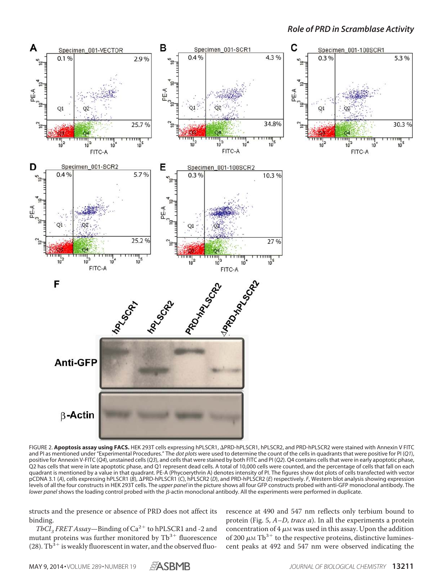

FIGURE 2. Apoptosis assay using FACS. HEK 293T cells expressing hPLSCR1, APRD-hPLSCR1, hPLSCR2, and PRD-hPLSCR2 were stained with Annexin V FITC and PI as mentioned under "Experimental Procedures." The *dot plots* were used to determine the count of the cells in quadrants that were positive for PI (*Q1*), positive for Annexin V-FITC (*Q4*), unstained cells (*Q3*), and cells that were stained by both FITC and PI (*Q2*). Q4 contains cells that were in early apoptotic phase, Q2 has cells that were in late apoptotic phase, and Q1 represent dead cells. A total of 10,000 cells were counted, and the percentage of cells that fall on each quadrant is mentioned by a value in that quadrant. PE-A (Phycoerythrin A) denotes intensity of PI. The figures show dot plots of cells transfected with vector pCDNA 3.1 (A), cells expressing hPLSCR1 (*B*),  $\triangle$ PRD-hPLSCR1 (*C*), hPLSCR2 (*D*), and PRD-hPLSCR2 (*E*) respectively. *F*, Western blot analysis showing expression levels of all the four constructs in HEK 293T cells. The *upper panel* in the picture shows all four GFP constructs probed with anti-GFP monoclonal antibody. The *lower panel* shows the loading control probed with the  $\beta$ -actin monoclonal antibody. All the experiments were performed in duplicate.

structs and the presence or absence of PRD does not affect its binding.

TbCl<sub>3</sub> FRET Assay—Binding of  $Ca^{2+}$  to hPLSCR1 and -2 and mutant proteins was further monitored by  $\text{Tb}^{3+}$  fluorescence (28).  $\text{TD}^{\mathfrak{Z}+}$  is weakly fluorescent in water, and the observed fluo-

rescence at 490 and 547 nm reflects only terbium bound to protein (Fig. 5, A–D, trace a). In all the experiments a protein concentration of  $4 \mu$ M was used in this assay. Upon the addition of 200  $\mu$ M Tb<sup>3+</sup> to the respective proteins, distinctive luminescent peaks at 492 and 547 nm were observed indicating the

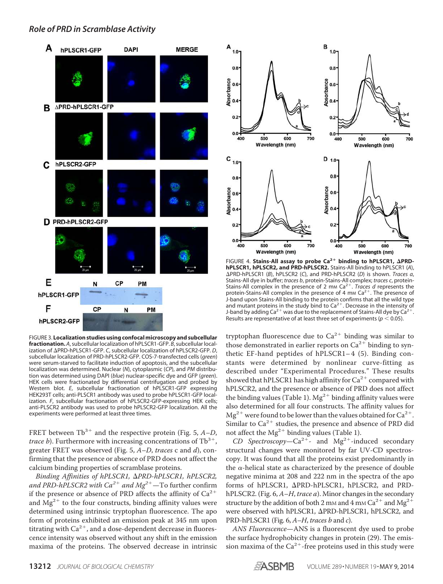

FIGURE 3. **Localization studies using confocal microscopy and subcellular fractionation.** *A*, subcellular localization of hPLSCR1-GFP. *B*, subcellular localization of PRD-hPLSCR1-GFP. *C*, subcellular localization of hPLSCR2-GFP. *D*, subcellular localization of PRD-hPLSCR2-GFP. COS-7-transfected cells (*green*) were serum-starved to facilitate induction of apoptosis, and the subcellular localization was determined. Nuclear (*N*), cytoplasmic (*CP*), and *PM* distribution was determined using DAPI (*blue*) nuclear-specific dye and GFP (*green*). HEK cells were fractionated by differential centrifugation and probed by Western blot. *E*, subcellular fractionation of hPLSCR1-GFP expressing HEK293T cells; anti-PLSCR1 antibody was used to probe hPLSCR1-GFP localization. *F*, subcellular fractionation of hPLSCR2-GFP-expressing HEK cells; anti-PLSCR2 antibody was used to probe hPLSCR2-GFP localization. All the experiments were performed at least three times.

FRET between  $\text{Tb}^{3+}$  and the respective protein (Fig. 5, A-D, *trace b*). Furthermore with increasing concentrations of  $\text{fb}^{3+}$ , greater FRET was observed (Fig. 5, A–D, traces c and d), confirming that the presence or absence of PRD does not affect the calcium binding properties of scramblase proteins.

Binding Affinities of hPLSCR1,  $\Delta$ PRD-hPLSCR1, hPLSCR2, and PRD-hPLSCR2 with Ca<sup>2+</sup> and Mg<sup>2+</sup>—To further confirm if the presence or absence of PRD affects the affinity of  $Ca^{2+}$ and  $\rm{Mg^{2+}}$  to the four constructs, binding affinity values were determined using intrinsic tryptophan fluorescence. The apo form of proteins exhibited an emission peak at 345 nm upon titrating with  $Ca^{2+}$ , and a dose-dependent decrease in fluorescence intensity was observed without any shift in the emission maxima of the proteins. The observed decrease in intrinsic



FIGURE 4. Stains-All assay to probe Ca<sup>2+</sup> binding to hPLSCR1, APRD**hPLSCR1, hPLSCR2, and PRD-hPLSCR2.** Stains-All binding to hPLSCR1 (*A*), PRD-hPLSCR1 (*B*), hPLSCR2 (*C*), and PRD-hPLSCR2 (*D*) is shown. *Traces a*, Stains-All dye in buffer; *traces b*, protein-Stains-All complex; *traces c*, protein-Stains-All complex in the presence of 2 mm Ca<sup>2+</sup>. *Traces d* represents the protein-Stains-All complex in the presence of 4 mm  $\text{Ca}^{2+}$ . The presence of J-band upon Stains-All binding to the protein confirms that all the wild type and mutant proteins in the study bind to  $Ca^{2+}$ . Decrease in the intensity of J-band by adding Ca<sup>2+</sup> was due to the replacement of Stains-All dye by Ca<sup>2+</sup> . Results are representative of at least three set of experiments ( $p < 0.05$ ).

tryptophan fluorescence due to  $\text{Ca}^{2+}$  binding was similar to those demonstrated in earlier reports on  $Ca^{2+}$  binding to synthetic EF-hand peptides of hPLSCR1-4 (5). Binding constants were determined by nonlinear curve-fitting as described under "Experimental Procedures." These results showed that <code>hPLSCR1</code> has high affinity for Ca $^{2+}$  compared with hPLSCR2, and the presence or absence of PRD does not affect the binding values (Table 1).  $Mg^{2+}$  binding affinity values were also determined for all four constructs. The affinity values for  $\text{Mg}^{2+}$  were found to be lower than the values obtained for Ca $^{2+}.$ Similar to  $Ca^{2+}$  studies, the presence and absence of PRD did not affect the  $Mg^{2+}$  binding values (Table 1).

CD Spectroscopy- $Ca^{2+}$ - and Mg<sup>2+</sup>-induced secondary structural changes were monitored by far UV-CD spectroscopy. It was found that all the proteins exist predominantly in the  $\alpha$ -helical state as characterized by the presence of double negative minima at 208 and 222 nm in the spectra of the apo forms of hPLSCR1, APRD-hPLSCR1, hPLSCR2, and PRDhPLSCR2. (Fig. 6, A-H, trace a). Minor changes in the secondary structure by the addition of both 2 mm and 4 mm Ca $^{2+}$  and Mg $^{2+}$ were observed with hPLSCR1,  $\Delta$ PRD-hPLSCR1, hPLSCR2, and PRD-hPLSCR1 (Fig. 6, A-H, traces b and c).

ANS Fluorescence—ANS is a fluorescent dye used to probe the surface hydrophobicity changes in protein (29). The emission maxima of the  $Ca^{2+}$ -free proteins used in this study were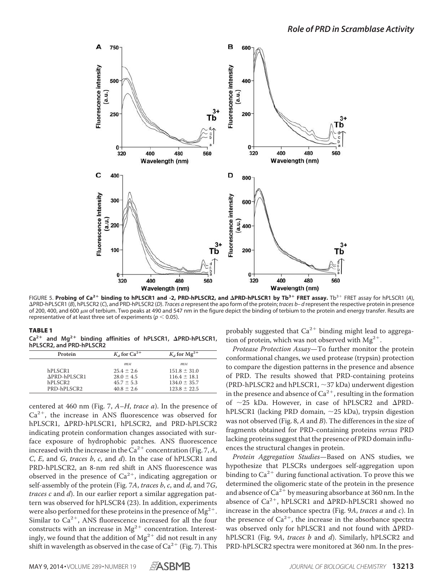

FIGURE 5. Probing of Ca<sup>2+</sup> binding to hPLSCR1 and -2, PRD-hPLSCR2, and **APRD-hPLSCR1 by Tb<sup>3+</sup> FRET assay.** Tb<sup>3+</sup> FRET assay for hPLSCR1 (A), PRD-hPLSCR1 (*B*), hPLSCR2 (*C*), and PRD-hPLSCR2 (*D*). *Traces a* represent the apo form of the protein; *traces b– d* represent the respective protein in presence of 200, 400, and 600  $\mu$ M of terbium. Two peaks at 490 and 547 nm in the figure depict the binding of terbium to the protein and energy transfer. Results are representative of at least three set of experiments ( $p < 0.05$ ).

| ., |
|----|
|----|

**Ca2**- **and Mg2**- **binding affinities of hPLSCR1, PRD-hPLSCR1, hPLSCR2, and PRD-hPLSCR2**

| Protein             | $K_d$ for Ca <sup>2+</sup> | $K_d$ for $Mg^{2+}$ |
|---------------------|----------------------------|---------------------|
|                     | $^{mm}$                    | $^{mm}$             |
| hPLSCR1             | $25.4 \pm 2.6$             | $151.8 \pm 31.0$    |
| APRD-hPLSCR1        | $28.0 \pm 4.5$             | $116.4 \pm 18.1$    |
| hPLSCR <sub>2</sub> | $45.7 \pm 5.3$             | $134.0 \pm 35.7$    |
| PRD-hPLSCR2         | $40.8 \pm 2.6$             | $123.8 \pm 22.5$    |

centered at 460 nm (Fig. 7,  $A-H$ , trace a). In the presence of Ca<sup>2+</sup>, the increase in ANS fluorescence was observed for hPLSCR1, APRD-hPLSCR1, hPLSCR2, and PRD-hPLSCR2 indicating protein conformation changes associated with surface exposure of hydrophobic patches. ANS fluorescence increased with the increase in the  $\text{Ca}^{2+}$  concentration (Fig. 7, A, C, E, and G, traces b, c, and d). In the case of hPLSCR1 and PRD-hPLSCR2, an 8-nm red shift in ANS fluorescence was observed in the presence of  $Ca^{2+}$ , indicating aggregation or self-assembly of the protein (Fig. 7A, traces b, c, and d, and 7G, *traces c* and  $d$ ). In our earlier report a similar aggregation pattern was observed for hPLSCR4 (23). In addition, experiments were also performed for these proteins in the presence of  $Mg^{2+}$ . Similar to  $Ca^{2+}$ , ANS fluorescence increased for all the four constructs with an increase in  $Mg^{2+}$  concentration. Interestingly, we found that the addition of  $Mg^{2+}$  did not result in any shift in wavelength as observed in the case of  $Ca^{2+}$  (Fig. 7). This probably suggested that  $Ca^{2+}$  binding might lead to aggregation of protein, which was not observed with  $Mg^{2+}$ .

Protease Protection Assay—To further monitor the protein conformational changes, we used protease (trypsin) protection to compare the digestion patterns in the presence and absence of PRD. The results showed that PRD-containing proteins (PRD-hPLSCR2 and hPLSCR1,  $\sim$ 37 kDa) underwent digestion in the presence and absence of  $\text{Ca}^{2+}$ , resulting in the formation of  $\sim$ 25 kDa. However, in case of hPLSCR2 and  $\Delta$ PRDhPLSCR1 (lacking PRD domain,  $\sim$ 25 kDa), trypsin digestion was not observed (Fig. 8,  $A$  and  $B$ ). The differences in the size of fragments obtained for PRD-containing proteins versus PRD lacking proteins suggest that the presence of PRD domain influences the structural changes in protein.

Protein Aggregation Studies—Based on ANS studies, we hypothesize that PLSCRs undergoes self-aggregation upon binding to  $Ca^{2+}$  during functional activation. To prove this we determined the oligomeric state of the protein in the presence and absence of Ca $^{2+}$  by measuring absorbance at 360 nm. In the absence of  $Ca^{2+}$ , hPLSCR1 and  $\Delta$ PRD-hPLSCR1 showed no increase in the absorbance spectra (Fig. 9A, traces a and c). In the presence of  $Ca^{2+}$ , the increase in the absorbance spectra was observed only for hPLSCR1 and not found with  $\Delta$ PRDhPLSCR1 (Fig. 9A, traces b and d). Similarly, hPLSCR2 and PRD-hPLSCR2 spectra were monitored at 360 nm. In the pres-

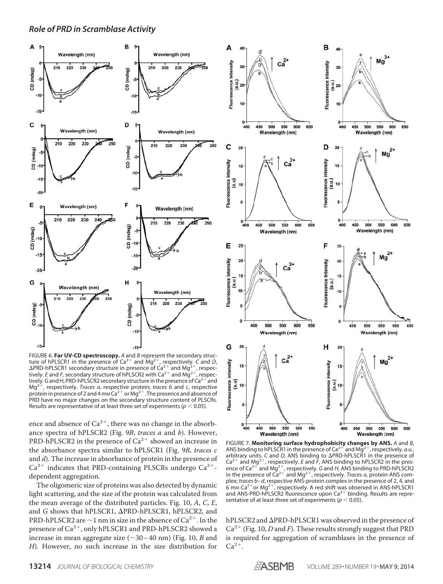

FIGURE 6. **Far UV-CD spectroscopy.** *A* and *B* represent the secondary structure of hPLSCR1 in the presence of Ca<sup>2+</sup> and Mg<sup>2+</sup>, respectively. *C* and *D*,<br> $\Delta$ PRD-hPLSCR1 secondary structure in presence of Ca<sup>2+</sup> and Mg<sup>2+</sup>, respec-ΔPRD-hPLSCR1 secondary structure in presence of Ca<sup>2+</sup> and Mg<sup>2+</sup>, respec-<br>tively. *E* and *F*, secondary structure of hPLSCR2 with Ca<sup>2+</sup>, respec-<br>tively. G and *H* PPD-bPLSCR2 secondary structure in the presence of Ga<sup>2</sup> tively. G and H, PRD-hPLSCR2 secondary structure in the presence of Ca<sup>2+'</sup>and  $Ma<sup>2</sup>$  , respectively. *Traces a*, respective protein; *traces b* and *c*, respective protein in presence of 2 and 4 mm  $Ca^{2+}$  or Mg<sup>2+</sup>. The presence and absence of PRD have no major changes on the secondary structure content of PLSCRs. Results are representative of at least three set of experiments ( $p < 0.05$ ).

ence and absence of  $Ca^{2+}$ , there was no change in the absorbance spectra of hPLSCR2 (Fig. 9B, traces a and b). However, PRD-hPLSCR2 in the presence of  $Ca^{2+}$  showed an increase in the absorbance spectra similar to hPLSCR1 (Fig. 9B, traces c and d). The increase in absorbance of protein in the presence of  $Ca^{2+}$  indicates that PRD-containing PLSCRs undergo  $Ca^{2+}$ dependent aggregation.

The oligomeric size of proteins was also detected by dynamic light scattering, and the size of the protein was calculated from the mean average of the distributed particles. Fig. 10, A, C, E, and G shows that  $hPLSCR1$ ,  $\Delta PRD-hPLSCR1$ ,  $hPLSCR2$ , and PRD-hPLSCR2 are  $\sim$  1 nm in size in the absence of Ca<sup>2+</sup>. In the presence of  $Ca^{2+}$ , only hPLSCR1 and PRD-hPLSCR2 showed a increase in mean aggregate size  $(\sim 30 - 40$  nm) (Fig. 10, B and H). However, no such increase in the size distribution for



FIGURE 7. **Monitoring surface hydrophobicity changes by ANS.** *A* and *B*, ANS binding to hPLSCR1 in the presence of Ca<sup>2+</sup> and Mg<sup>2+</sup>, respectively. *a.u.*, arbitrary units. *C* and *D*, ANS binding to  $\Delta$ PRD-hPLSCR1 in the presence of  $Ca^{2+}$  and Mg<sup>2+</sup>, respectively. *E* and  $\tilde{F}$ , ANS binding to hPLSCR2 in the presence of Ca<sup>2+</sup> and Mg<sup>2+</sup>, respectively. G and H, ANS binding to PRD-hPLSCR2<br>in the presence of Ca<sup>2+</sup> and Mg<sup>2+</sup>, respectively. *Traces a*, protein-ANS complex; *traces b– d*, respective ANS-protein complex in the presence of 2, 4, and o mm Ca<sup>2+</sup>or Mg<sup>2+</sup>, respectively. A red shift was observed in ANS-hPLSCR1<br>and ANS-PRD-hPLSCR2 fluorescence upon Ca<sup>2+</sup> binding. Results are representative of at least three set of experiments ( $p < 0.05$ ).

hPLSCR2 and  $\Delta$ PRD-hPLSCR1 was observed in the presence of  $Ca^{2+}$  (Fig. 10, D and F). These results strongly suggest that PRD is required for aggregation of scramblases in the presence of  $Ca^{2+}$ .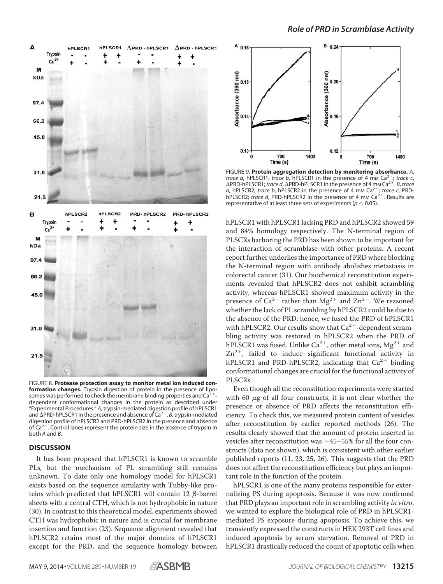

FIGURE 8. **Protease protection assay to monitor metal ion induced conformation changes.** Trypsin digestion of protein in the presence of liposomes was performed to check the membrane binding properties and Ca<sup>2</sup> dependent conformational changes in the protein as described under "Experimental Procedures." *A*, trypsin-mediated digestion profile of hPLSCR1 and **APRD-hPLSCR1** in the presence and absence of Ca<sup>2+</sup>. B, trypsin-mediated digestion profile of hPLSCR2 and PRD-hPLSCR2 in the presence and absence of  $\text{Ca}^{2+}$ . Control lanes represent the protein size in the absence of trypsin in both *A* and *B*.

#### **DISCUSSION**

It has been proposed that hPLSCR1 is known to scramble PLs, but the mechanism of PL scrambling still remains unknown. To date only one homology model for hPLSCR1 exists based on the sequence similarity with Tubby-like proteins which predicted that hPLSCR1 will contain  $12 \beta$ -barrel sheets with a central CTH, which is not hydrophobic in nature (30). In contrast to this theoretical model, experiments showed CTH was hydrophobic in nature and is crucial for membrane insertion and function (23). Sequence alignment revealed that hPLSCR2 retains most of the major domains of hPLSCR1 except for the PRD, and the sequence homology between



FIGURE 9. **Protein aggregation detection by monitoring absorbance.** *A*, *trace a*, hPLSCR1; *trace b*, hPLSCR1 in the presence of 4 mm Ca<sup>2</sup> ; *trace c*, ΔPRD-hPLSCR1; *trace d*, ΔPRD-hPLSCR1 in the presence of 4 mm Ca<sup>2+</sup>. *B*, *trace* a, hPLSCR2; *trace b*, hPLSCR2 in the presence of 4 mm Ca<sup>2+</sup>; *trace c*, PRDhPLSCR2; *trace d*, PRD-hPLSCR2 in the presence of 4 mm Ca<sup>2+</sup>. Results are representative of at least three sets of experiments ( $p < 0.05$ ).

hPLSCR1 with hPLSCR1 lacking PRD and hPLSCR2 showed 59 and 84% homology respectively. The N-terminal region of PLSCRs harboring the PRD has been shown to be important for the interaction of scramblase with other proteins. A recent report further underlies the importance of PRD where blocking the N-terminal region with antibody abolishes metastasis in colorectal cancer (31). Our biochemical reconstitution experiments revealed that hPLSCR2 does not exhibit scrambling activity, whereas hPLSCR1 showed maximum activity in the presence of  $Ca^{2+}$  rather than  $Mg^{2+}$  and  $Zn^{2+}$ . We reasoned whether the lack of PL scrambling by hPLSCR2 could be due to the absence of the PRD; hence, we fused the PRD of hPLSCR1 with hPLSCR2. Our results show that  $Ca^{2+}$ -dependent scrambling activity was restored in hPLSCR2 when the PRD of <code>hPLSCR1</code> was fused. Unlike Ca $^{2+}$ , other metal ions, Mg $^{2+}$  and  $Zn^{2+}$ , failed to induce significant functional activity in hPLSCR1 and PRD-hPLSCR2, indicating that  $Ca^{2+}$  binding conformational changes are crucial for the functional activity of PLSCRs.

Even though all the reconstitution experiments were started with 60  $\mu$ g of all four constructs, it is not clear whether the presence or absence of PRD affects the reconstitution efficiency. To check this, we measured protein content of vesicles after reconstitution by earlier reported methods (26). The results clearly showed that the amount of protein inserted in vesicles after reconstitution was  $\sim$ 45–55% for all the four constructs (data not shown), which is consistent with other earlier published reports (11, 23, 25, 26). This suggests that the PRD does not affect the reconstitution efficiency but plays an important role in the function of the protein.

hPLSCR1 is one of the many proteins responsible for externalizing PS during apoptosis. Because it was now confirmed that PRD plays an important role in scrambling activity in vitro, we wanted to explore the biological role of PRD in hPLSCR1 mediated PS exposure during apoptosis. To achieve this, we transiently expressed the constructs in HEK 293T cell lines and induced apoptosis by serum starvation. Removal of PRD in hPLSCR1 drastically reduced the count of apoptotic cells when

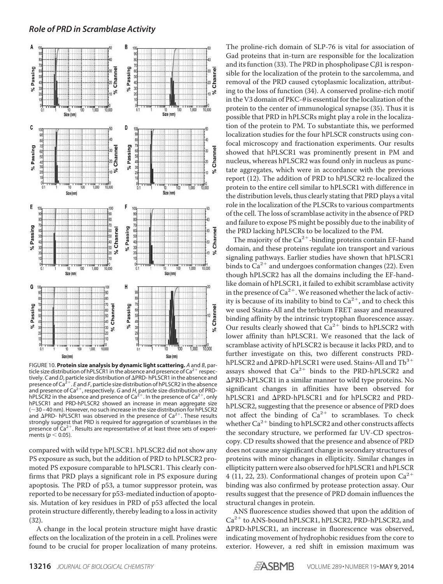

FIGURE 10. **Protein size analysis by dynamic light scattering.** *A* and *B*, particle size distribution of hPLSCR1 in the absence and presence of Ca<sup>2+</sup> respectively. *C* and *D*, particle size distribution of ΔPRD- hPLSCR1 in the absence and<br>presence of Ca<sup>2+</sup>. *E* and *F*, particle size distribution of hPLSCR2 in the absence and presence of Ca<sup>2+</sup>, respectively. *G* and *H*, particle size distribution of PRD-<br>hPLSCR2 in the absence and presence of Ca<sup>2+</sup>. In the presence of Ca<sup>2+</sup>, only hPLSCR1 and PRD-hPLSCR2 showed an increase in mean aggregate size ( $\sim$ 30 – 40 nm). However, no such increase in the size distribution for hPLSCR2<br>and  $\Delta$ PRD- hPLSCR1 was observed in the presence of Ca<sup>2+</sup>. These results strongly suggest that PRD is required for aggregation of scramblases in the presence of  $\text{Ca}^{2+}$ . Results are representative of at least three sets of experiments ( $p < 0.05$ ).

compared with wild type hPLSCR1. hPLSCR2 did not show any PS exposure as such, but the addition of PRD to hPLSCR2 promoted PS exposure comparable to hPLSCR1. This clearly confirms that PRD plays a significant role in PS exposure during apoptosis. The PRD of p53, a tumor suppressor protein, was reported to be necessary for p53-mediated induction of apoptosis. Mutation of key residues in PRD of p53 affected the local protein structure differently, thereby leading to a loss in activity (32).

A change in the local protein structure might have drastic effects on the localization of the protein in a cell. Prolines were found to be crucial for proper localization of many proteins. The proline-rich domain of SLP-76 is vital for association of Gad proteins that in-turn are responsible for the localization and its function (33). The PRD in phospholipase C $\beta$ 1 is responsible for the localization of the protein to the sarcolemma, and removal of the PRD caused cytoplasmic localization, attributing to the loss of function (34). A conserved proline-rich motif in the V3 domain of PKC- $\theta$  is essential for the localization of the protein to the center of immunological synapse (35). Thus it is possible that PRD in hPLSCRs might play a role in the localization of the protein to PM. To substantiate this, we performed localization studies for the four hPLSCR constructs using confocal microscopy and fractionation experiments. Our results showed that hPLSCR1 was prominently present in PM and nucleus, whereas hPLSCR2 was found only in nucleus as punctate aggregates, which were in accordance with the previous report (12). The addition of PRD to hPLSCR2 re-localized the protein to the entire cell similar to hPLSCR1 with difference in the distribution levels, thus clearly stating that PRD plays a vital role in the localization of the PLSCRs to various compartments of the cell. The loss of scramblase activity in the absence of PRD and failure to expose PS might be possibly due to the inability of the PRD lacking hPLSCRs to be localized to the PM.

The majority of the  $Ca^{2+}$ -binding proteins contain EF-hand domain, and these proteins regulate ion transport and various signaling pathways. Earlier studies have shown that hPLSCR1 binds to  $Ca^{2+}$  and undergoes conformation changes (22). Even though hPLSCR2 has all the domains including the EF-handlike domain of hPLSCR1, it failed to exhibit scramblase activity in the presence of  $\text{Ca}^{2+}$ . We reasoned whether the lack of activity is because of its inability to bind to  $Ca^{2+}$ , and to check this we used Stains-All and the terbium FRET assay and measured binding affinity by the intrinsic tryptophan fluorescence assay. Our results clearly showed that  $Ca^{2+}$  binds to hPLSCR2 with lower affinity than hPLSCR1. We reasoned that the lack of scramblase activity of hPLSCR2 is because it lacks PRD, and to further investigate on this, two different constructs PRD-<code>hPLSCR2</code> and <code> $\Delta$ PRD-hPLSCR1</code> were used. Stains-All and <code>Tb<sup>3+</code></code></sup> assays showed that  $Ca^{2+}$  binds to the PRD-hPLSCR2 and PRD-hPLSCR1 in a similar manner to wild type proteins. No significant changes in affinities have been observed for hPLSCR1 and  $\Delta$ PRD-hPLSCR1 and for hPLSCR2 and PRDhPLSCR2, suggesting that the presence or absence of PRD does not affect the binding of  $Ca^{2+}$  to scramblases. To check whether  $Ca^{2+}$  binding to hPLSCR2 and other constructs affects the secondary structure, we performed far UV-CD spectroscopy. CD results showed that the presence and absence of PRD does not cause any significant change in secondary structures of proteins with minor changes in ellipticity. Similar changes in ellipticity pattern were also observed for hPLSCR1 and hPLSCR 4 (11, 22, 23). Conformational changes of protein upon  $Ca^{2+}$ binding was also confirmed by protease protection assay. Our results suggest that the presence of PRD domain influences the structural changes in protein.

ANS fluorescence studies showed that upon the addition of Ca<sup>2+</sup> to ANS-bound hPLSCR1, hPLSCR2, PRD-hPLSCR2, and PRD-hPLSCR1, an increase in fluorescence was observed, indicating movement of hydrophobic residues from the core to exterior. However, a red shift in emission maximum was

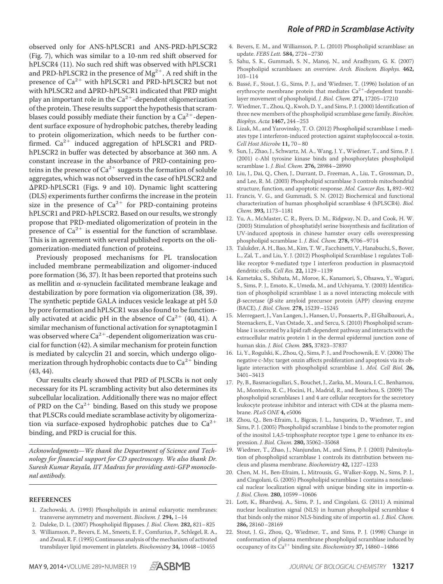observed only for ANS-hPLSCR1 and ANS-PRD-hPLSCR2 (Fig. 7), which was similar to a 10-nm red shift observed for hPLSCR4 (11). No such red shift was observed with hPLSCR1 and PRD-hPLSCR2 in the presence of  $\text{Mg}^{2+}$ . A red shift in the presence of Ca<sup>2+</sup> with hPLSCR1 and PRD-hPLSCR2 but not with hPLSCR2 and  $\Delta$ PRD-hPLSCR1 indicated that PRD might play an important role in the  $\text{Ca}^{2+}$ -dependent oligomerization of the protein. These results support the hypothesis that scramblases could possibly mediate their function by a  $\text{Ca}^{2+}$ -dependent surface exposure of hydrophobic patches, thereby leading to protein oligomerization, which needs to be further confirmed. Ca<sup>2+</sup> induced aggregation of hPLSCR1 and PRDhPLSCR2 in buffer was detected by absorbance at 360 nm. A constant increase in the absorbance of PRD-containing proteins in the presence of  $Ca^{2+}$  suggests the formation of soluble aggregates, which was not observed in the case of hPLSCR2 and PRD-hPLSCR1 (Figs. 9 and 10). Dynamic light scattering (DLS) experiments further confirms the increase in the protein size in the presence of  $Ca^{2+}$  for PRD-containing proteins hPLSCR1 and PRD-hPLSCR2. Based on our results, we strongly propose that PRD-mediated oligomerization of protein in the presence of  $Ca^{2+}$  is essential for the function of scramblase. This is in agreement with several published reports on the oligomerization-mediated function of proteins.

Previously proposed mechanisms for PL translocation included membrane permeabilization and oligomer-induced pore formation (36, 37). It has been reported that proteins such as mellitin and  $\alpha$ -synuclein facilitated membrane leakage and destabilization by pore formation via oligomerization (38, 39). The synthetic peptide GALA induces vesicle leakage at pH 5.0 by pore formation and hPLSCR1 was also found to be functionally activated at acidic pH in the absence of  $Ca^{2+}$  (40, 41). A similar mechanism of functional activation for synaptotagmin I was observed where  $\text{Ca}^{2+}$ -dependent oligomerization was crucial for function (42). A similar mechanism for protein function is mediated by calcyclin 21 and sorcin, which undergo oligomerization through hydrophobic contacts due to  $\text{Ca}^{2+}$  binding (43, 44).

Our results clearly showed that PRD of PLSCRs is not only necessary for its PL scrambling activity but also determines its subcellular localization. Additionally there was no major effect of PRD on the  $Ca^{2+}$  binding. Based on this study we propose that PLSCRs could mediate scramblase activity by oligomerization via surface-exposed hydrophobic patches due to  $Ca^{2+}$ binding, and PRD is crucial for this.

Acknowledgments—We thank the Department of Science and Technology for financial support for CD spectroscopy. We also thank Dr. Suresh Kumar Rayala, IIT Madras for providing anti-GFP monoclonal antibody.

#### **REFERENCES**

- 1. Zachowski, A. (1993) Phospholipids in animal eukaryotic membranes: transverse asymmetry and movement. Biochem. J. **294,** 1–14
- 2. Daleke, D. L. (2007) Phospholipid flippases. J. Biol. Chem. **282,** 821–825
- 3. Williamson, P., Bevers, E. M., Smeets, E. F., Comfurius, P., Schlegel, R. A., and Zwaal, R. F. (1995) Continuous analysis of the mechanism of activated transbilayer lipid movement in platelets. Biochemistry **34,** 10448–10455
- 4. Bevers, E. M., and Williamson, P. L. (2010) Phospholipid scramblase: an update. FEBS Lett. **584,** 2724–2730
- 5. Sahu, S. K., Gummadi, S. N., Manoj, N., and Aradhyam, G. K. (2007) Phospholipid scramblases: an overview. Arch. Biochem. Biophys. **462,** 103–114
- 6. Basse´, F., Stout, J. G., Sims, P. J., and Wiedmer, T. (1996) Isolation of an erythrocyte membrane protein that mediates  $Ca^{2+}$ -dependent transbilayer movement of phospholipid. J. Biol. Chem. **271,** 17205–17210
- 7. Wiedmer, T., Zhou, Q., Kwoh, D. Y., and Sims, P. J. (2000) Identification of three new members of the phospholipid scramblase gene family. Biochim. Biophys. Acta **1467,** 244–253
- 8. Lizak, M., and Yarovinsky, T. O. (2012) Phospholipid scramblase 1 mediates type I interferon-induced protection against staphylococcal  $\alpha$ -toxin. Cell Host Microbe **11,** 70–80
- 9. Sun, J., Zhao, J., Schwartz, M. A., Wang, J. Y., Wiedmer, T., and Sims, P. J. (2001) c-Abl tyrosine kinase binds and phosphorylates phospholipid scramblase 1. J. Biol. Chem. **276,** 28984–28990
- 10. Liu, J., Dai, Q., Chen, J., Durrant, D., Freeman, A., Liu, T., Grossman, D., and Lee, R. M. (2003) Phospholipid scramblase 3 controls mitochondrial structure, function, and apoptotic response. Mol. Cancer Res. **1,** 892–902
- 11. Francis, V. G., and Gummadi, S. N. (2012) Biochemical and functional characterization of human phospholipid scramblase 4 (hPLSCR4). Biol. Chem. **393,** 1173–1181
- 12. Yu, A., McMaster, C. R., Byers, D. M., Ridgway, N. D., and Cook, H. W. (2003) Stimulation of phosphatidyl serine biosynthesis and facilitation of UV-induced apoptosis in chinese hamster ovary cells overexpressing phospholipid scramblase 1. J. Biol. Chem. **278,** 9706–9714
- 13. Talukder, A. H., Bao, M., Kim, T.W., Facchinetti, V., Hanabuchi, S., Bover, L., Zal, T., and Liu, Y. J. (2012) Phospholipid Scramblase 1 regulates Tolllike receptor 9-mediated type I interferon production in plasmacytoid dendritic cells. Cell Res. **22,** 1129–1139
- 14. Kametaka, S., Shibata, M., Moroe, K., Kanamori, S., Ohsawa, Y., Waguri, S., Sims, P. J., Emoto, K., Umeda, M., and Uchiyama, Y. (2003) Identification of phospholipid scramblase 1 as a novel interacting molecule with  $\beta$ -secretase ( $\beta$ -site amyloid precursor protein (APP) cleaving enzyme (BACE). J. Biol. Chem. **278,** 15239–15245
- 15. Merregaert, J., Van Langen, J., Hansen, U., Ponsaerts, P., El Ghalbzouri, A., Steenackers, E., Van Ostade, X., and Sercu, S. (2010) Phospholipid scramblase 1 is secreted by a lipid raft-dependent pathway and interacts with the extracellular matrix protein 1 in the dermal epidermal junction zone of human skin. J. Biol. Chem. **285,** 37823–37837
- 16. Li, Y., Rogulski, K., Zhou, Q., Sims, P. J., and Prochownik, E. V. (2006) The negative c-Myc target onzin affects proliferation and apoptosis via its obligate interaction with phospholipid scramblase 1. Mol. Cell Biol. **26,** 3401–3413
- 17. Py, B., Basmaciogullari, S., Bouchet, J., Zarka, M., Moura, I. C., Benhamou, M., Monteiro, R. C., Hocini, H., Madrid, R., and Benichou, S. (2009) The phospholipid scramblases 1 and 4 are cellular receptors for the secretory leukocyte protease inhibitor and interact with CD4 at the plasma membrane. PLoS ONE **4,** e5006
- 18. Zhou, Q., Ben-Efraim, I., Bigcas, J. L., Junqueira, D., Wiedmer, T., and Sims, P. J. (2005) Phospholipid scramblase 1 binds to the promoter region of the inositol 1,4,5-triphosphate receptor type 1 gene to enhance its expression. J. Biol. Chem. **280,** 35062–35068
- 19. Wiedmer, T., Zhao, J., Nanjundan, M., and Sims, P. J. (2003) Palmitoylation of phospholipid scramblase 1 controls its distribution between nucleus and plasma membrane. Biochemistry **42,** 1227–1233
- 20. Chen, M. H., Ben-Efraim, I., Mitrousis, G., Walker-Kopp, N., Sims, P. J., and Cingolani, G. (2005) Phospholipid scramblase 1 contains a nonclassical nuclear localization signal with unique binding site in importin- $\alpha$ . J. Biol. Chem. **280,** 10599–10606
- 21. Lott, K., Bhardwaj, A., Sims, P. J., and Cingolani, G. (2011) A minimal nuclear localization signal (NLS) in human phospholipid scramblase 4 that binds only the minor NLS-binding site of importin  $\alpha$ 1. *J. Biol. Chem.* **286,** 28160–28169
- 22. Stout, J. G., Zhou, Q., Wiedmer, T., and Sims, P. J. (1998) Change in conformation of plasma membrane phospholipid scramblase induced by occupancy of its Ca<sup>2+</sup> binding site. Biochemistry 37, 14860-14866